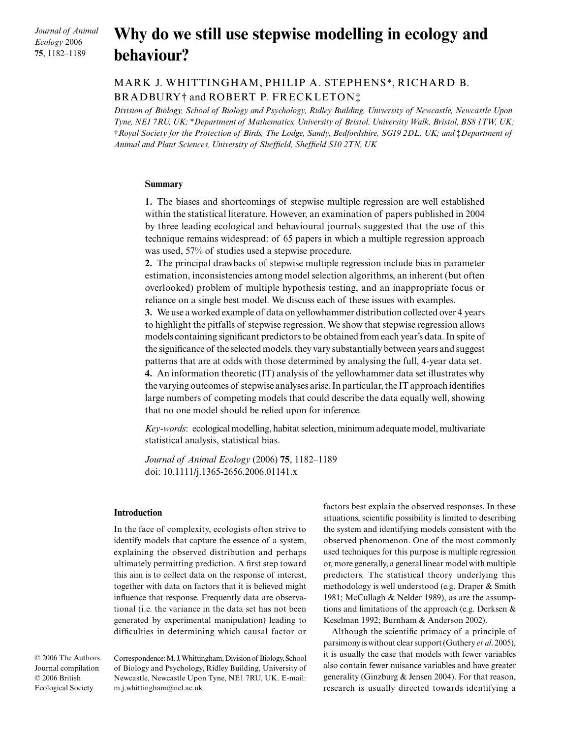*Journal of Animal Ecology* 2006 **75**, 1182–1189

# Why do we still use stepwise modelling in ecology and **behaviour?**

## MARK J. WHITTINGHAM, PHILIP A. STEPHENS\*, RICHARD B. BRADBURY† and ROBERT P. FRECKLETON‡

*Division of Biology, School of Biology and Psychology, Ridley Building, University of Newcastle, Newcastle Upon Tyne, NE1 7RU, UK;* \**Department of Mathematics, University of Bristol, University Walk, Bristol, BS8 1TW, UK;*  †*Royal Society for the Protection of Birds, The Lodge, Sandy, Bedfordshire, SG19 2DL, UK; and* ‡*Department of Animal and Plant Sciences, University of Sheffield, Sheffield S10 2TN, UK*

#### **Summary**

**1.** The biases and shortcomings of stepwise multiple regression are well established within the statistical literature. However, an examination of papers published in 2004 by three leading ecological and behavioural journals suggested that the use of this technique remains widespread: of 65 papers in which a multiple regression approach was used, 57% of studies used a stepwise procedure.

**2.** The principal drawbacks of stepwise multiple regression include bias in parameter estimation, inconsistencies among model selection algorithms, an inherent (but often overlooked) problem of multiple hypothesis testing, and an inappropriate focus or reliance on a single best model. We discuss each of these issues with examples.

**3.** We use a worked example of data on yellowhammer distribution collected over 4 years to highlight the pitfalls of stepwise regression. We show that stepwise regression allows models containing significant predictors to be obtained from each year's data. In spite of the significance of the selected models, they vary substantially between years and suggest patterns that are at odds with those determined by analysing the full, 4-year data set.

**4.** An information theoretic (IT) analysis of the yellowhammer data set illustrates why the varying outcomes of stepwise analyses arise. In particular, the IT approach identifies large numbers of competing models that could describe the data equally well, showing that no one model should be relied upon for inference.

*Key-words*: ecological modelling, habitat selection, minimum adequate model, multivariate statistical analysis, statistical bias.

*Journal of Animal Ecology* (2006) **75**, 1182–1189 doi: 10.1111/j.1365-2656.2006.01141.x

### **Introduction**

In the face of complexity, ecologists often strive to identify models that capture the essence of a system, explaining the observed distribution and perhaps ultimately permitting prediction. A first step toward this aim is to collect data on the response of interest, together with data on factors that it is believed might influence that response. Frequently data are observational (i.e. the variance in the data set has not been generated by experimental manipulation) leading to difficulties in determining which causal factor or

© 2006 The Authors. Journal compilation © 2006 British Ecological Society

Correspondence: M. J. Whittingham, Division of Biology, School of Biology and Psychology, Ridley Building, University of Newcastle, Newcastle Upon Tyne, NE1 7RU, UK. E-mail: m.j.whittingham@ncl.ac.uk

factors best explain the observed responses. In these situations, scientific possibility is limited to describing the system and identifying models consistent with the observed phenomenon. One of the most commonly used techniques for this purpose is multiple regression or, more generally, a general linear model with multiple predictors. The statistical theory underlying this methodology is well understood (e.g. Draper & Smith 1981; McCullagh & Nelder 1989), as are the assumptions and limitations of the approach (e.g. Derksen & Keselman 1992; Burnham & Anderson 2002).

Although the scientific primacy of a principle of parsimony is without clear support (Guthery *et al*. 2005), it is usually the case that models with fewer variables also contain fewer nuisance variables and have greater generality (Ginzburg & Jensen 2004). For that reason, research is usually directed towards identifying a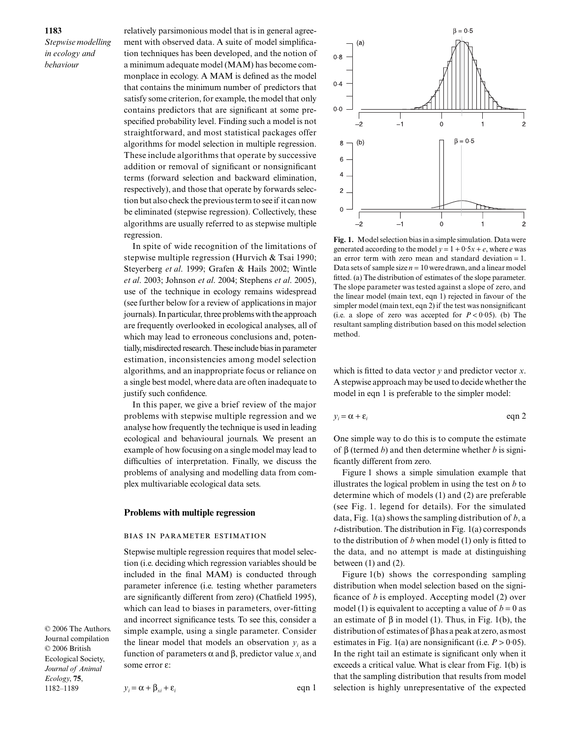**1183** *Stepwise modelling in ecology and behaviour*

relatively parsimonious model that is in general agreement with observed data. A suite of model simplification techniques has been developed, and the notion of a minimum adequate model (MAM) has become commonplace in ecology. A MAM is defined as the model that contains the minimum number of predictors that satisfy some criterion, for example, the model that only contains predictors that are significant at some prespecified probability level. Finding such a model is not straightforward, and most statistical packages offer algorithms for model selection in multiple regression. These include algorithms that operate by successive addition or removal of significant or nonsignificant terms (forward selection and backward elimination, respectively), and those that operate by forwards selection but also check the previous term to see if it can now be eliminated (stepwise regression). Collectively, these algorithms are usually referred to as stepwise multiple regression.

In spite of wide recognition of the limitations of stepwise multiple regression (Hurvich & Tsai 1990; Steyerberg *et al*. 1999; Grafen & Hails 2002; Wintle *et al*. 2003; Johnson *et al*. 2004; Stephens *et al*. 2005), use of the technique in ecology remains widespread (see further below for a review of applications in major journals). In particular, three problems with the approach are frequently overlooked in ecological analyses, all of which may lead to erroneous conclusions and, potentially, misdirected research. These include bias in parameter estimation, inconsistencies among model selection algorithms, and an inappropriate focus or reliance on a single best model, where data are often inadequate to justify such confidence.

In this paper, we give a brief review of the major problems with stepwise multiple regression and we analyse how frequently the technique is used in leading ecological and behavioural journals. We present an example of how focusing on a single model may lead to difficulties of interpretation. Finally, we discuss the problems of analysing and modelling data from complex multivariable ecological data sets.

#### **Problems with multiple regression**

#### BIAS IN PARAMETER ESTIMATION

Stepwise multiple regression requires that model selection (i.e. deciding which regression variables should be included in the final MAM) is conducted through parameter inference (i.e. testing whether parameters are significantly different from zero) (Chatfield 1995), which can lead to biases in parameters, over-fitting and incorrect significance tests. To see this, consider a simple example, using a single parameter. Consider the linear model that models an observation  $y_i$  as a function of parameters α and β, predictor value *xi* and some error ε:

© 2006 The Authors. Journal compilation © 2006 British Ecological Society, *Journal of Animal Ecology*, **75**, 1182–1189

$$
y_i = \alpha + \beta_{xi} + \varepsilon_i \qquad \text{eqn 1}
$$

 $B = 0.5$ 

**Fig. 1.** Model selection bias in a simple simulation. Data were generated according to the model  $y = 1 + 0.5x + e$ , where *e* was an error term with zero mean and standard deviation = 1. Data sets of sample size  $n = 10$  were drawn, and a linear model fitted. (a) The distribution of estimates of the slope parameter. The slope parameter was tested against a slope of zero, and the linear model (main text, eqn 1) rejected in favour of the simpler model (main text, eqn 2) if the test was nonsignificant (i.e. a slope of zero was accepted for  $P < 0.05$ ). (b) The resultant sampling distribution based on this model selection method.

which is fitted to data vector *y* and predictor vector *x*. A stepwise approach may be used to decide whether the model in eqn 1 is preferable to the simpler model:

$$
y_i = \alpha + \varepsilon_i \qquad \text{eqn 2}
$$

One simple way to do this is to compute the estimate of β (termed *b*) and then determine whether *b* is significantly different from zero.

Figure 1 shows a simple simulation example that illustrates the logical problem in using the test on *b* to determine which of models (1) and (2) are preferable (see Fig. 1. legend for details). For the simulated data, Fig. 1(a) shows the sampling distribution of *b*, a *t*-distribution. The distribution in Fig. 1(a) corresponds to the distribution of *b* when model (1) only is fitted to the data, and no attempt is made at distinguishing between  $(1)$  and  $(2)$ .

Figure 1(b) shows the corresponding sampling distribution when model selection based on the significance of *b* is employed. Accepting model (2) over model (1) is equivalent to accepting a value of  $b = 0$  as an estimate of  $β$  in model (1). Thus, in Fig. 1(b), the distribution of estimates of βhas a peak at zero, as most estimates in Fig. 1(a) are nonsignificant (i.e.  $P > 0.05$ ). In the right tail an estimate is significant only when it exceeds a critical value. What is clear from Fig. 1(b) is that the sampling distribution that results from model selection is highly unrepresentative of the expected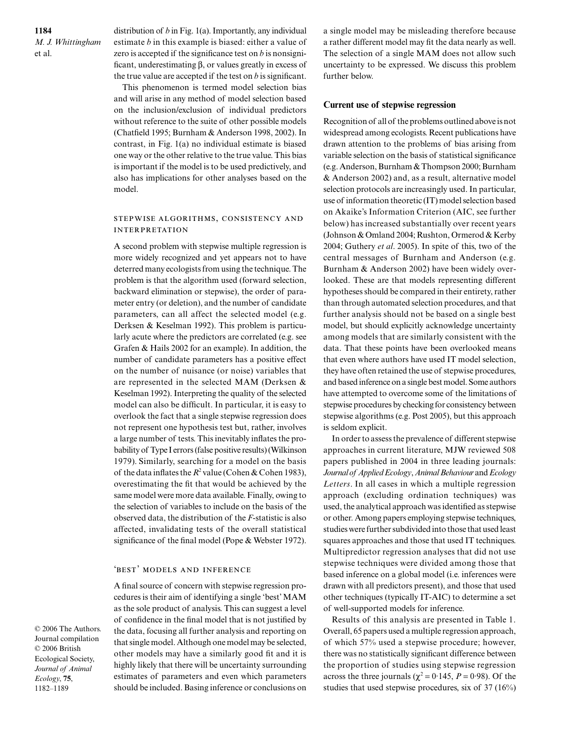distribution of *b* in Fig. 1(a). Importantly, any individual estimate *b* in this example is biased: either a value of zero is accepted if the significance test on *b* is nonsignificant, underestimating β, or values greatly in excess of the true value are accepted if the test on *b* is significant.

This phenomenon is termed model selection bias and will arise in any method of model selection based on the inclusion/exclusion of individual predictors without reference to the suite of other possible models (Chatfield 1995; Burnham & Anderson 1998, 2002). In contrast, in Fig. 1(a) no individual estimate is biased one way or the other relative to the true value. This bias is important if the model is to be used predictively, and also has implications for other analyses based on the model.

## STEPWISE ALGORITHMS, CONSISTENCY AND **INTERPRETATION**

A second problem with stepwise multiple regression is more widely recognized and yet appears not to have deterred many ecologists from using the technique. The problem is that the algorithm used (forward selection, backward elimination or stepwise), the order of parameter entry (or deletion), and the number of candidate parameters, can all affect the selected model (e.g. Derksen & Keselman 1992). This problem is particularly acute where the predictors are correlated (e.g. see Grafen & Hails 2002 for an example). In addition, the number of candidate parameters has a positive effect on the number of nuisance (or noise) variables that are represented in the selected MAM (Derksen & Keselman 1992). Interpreting the quality of the selected model can also be difficult. In particular, it is easy to overlook the fact that a single stepwise regression does not represent one hypothesis test but, rather, involves a large number of tests. This inevitably inflates the probability of Type I errors (false positive results) (Wilkinson 1979). Similarly, searching for a model on the basis of the data inflates the  $R^2$  value (Cohen & Cohen 1983), overestimating the fit that would be achieved by the same model were more data available. Finally, owing to the selection of variables to include on the basis of the observed data, the distribution of the *F*-statistic is also affected, invalidating tests of the overall statistical significance of the final model (Pope & Webster 1972).

#### 'BEST' MODELS AND INFERENCE

A final source of concern with stepwise regression procedures is their aim of identifying a single 'best' MAM as the sole product of analysis. This can suggest a level of confidence in the final model that is not justified by the data, focusing all further analysis and reporting on that single model. Although one model may be selected, other models may have a similarly good fit and it is highly likely that there will be uncertainty surrounding estimates of parameters and even which parameters should be included. Basing inference or conclusions on a single model may be misleading therefore because a rather different model may fit the data nearly as well. The selection of a single MAM does not allow such uncertainty to be expressed. We discuss this problem further below.

#### **Current use of stepwise regression**

Recognition of all of the problems outlined above is not widespread among ecologists. Recent publications have drawn attention to the problems of bias arising from variable selection on the basis of statistical significance (e.g. Anderson, Burnham & Thompson 2000; Burnham & Anderson 2002) and, as a result, alternative model selection protocols are increasingly used. In particular, use of information theoretic (IT) model selection based on Akaike's Information Criterion (AIC, see further below) has increased substantially over recent years (Johnson & Omland 2004; Rushton, Ormerod & Kerby 2004; Guthery *et al*. 2005). In spite of this, two of the central messages of Burnham and Anderson (e.g. Burnham & Anderson 2002) have been widely overlooked. These are that models representing different hypotheses should be compared in their entirety, rather than through automated selection procedures, and that further analysis should not be based on a single best model, but should explicitly acknowledge uncertainty among models that are similarly consistent with the data. That these points have been overlooked means that even where authors have used IT model selection, they have often retained the use of stepwise procedures, and based inference on a single best model. Some authors have attempted to overcome some of the limitations of stepwise procedures by checking for consistency between stepwise algorithms (e.g. Post 2005), but this approach is seldom explicit.

In order to assess the prevalence of different stepwise approaches in current literature, MJW reviewed 508 papers published in 2004 in three leading journals: *Journal of Applied Ecology*, *Animal Behaviour* and *Ecology Letters*. In all cases in which a multiple regression approach (excluding ordination techniques) was used, the analytical approach was identified as stepwise or other. Among papers employing stepwise techniques, studies were further subdivided into those that used least squares approaches and those that used IT techniques. Multipredictor regression analyses that did not use stepwise techniques were divided among those that based inference on a global model (i.e. inferences were drawn with all predictors present), and those that used other techniques (typically IT-AIC) to determine a set of well-supported models for inference.

Results of this analysis are presented in Table 1. Overall, 65 papers used a multiple regression approach, of which 57% used a stepwise procedure; however, there was no statistically significant difference between the proportion of studies using stepwise regression across the three journals ( $\chi^2 = 0.145$ ,  $P = 0.98$ ). Of the studies that used stepwise procedures, six of 37 (16%)

© 2006 The Authors. Journal compilation © 2006 British Ecological Society, *Journal of Animal Ecology*, **75**, 1182–1189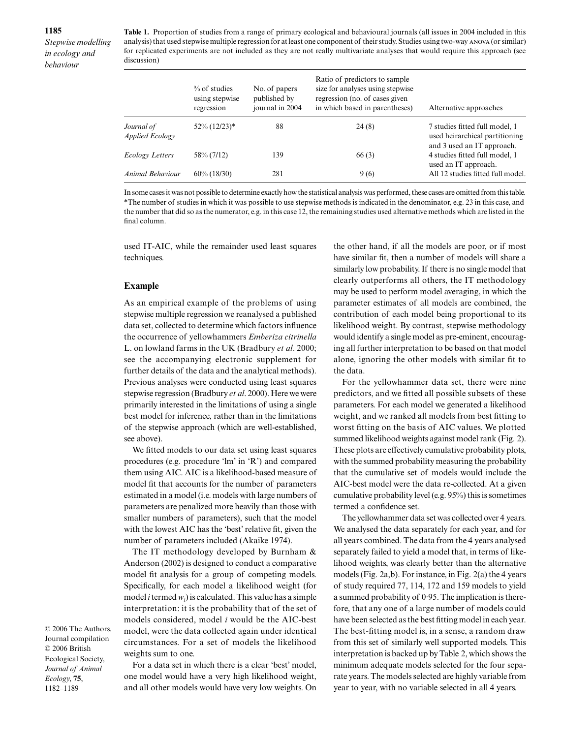*Stepwise modelling in ecology and behaviour*

**Table 1.** Proportion of studies from a range of primary ecological and behavioural journals (all issues in 2004 included in this analysis) that used stepwise multiple regression for at least one component of their study. Studies using two-way ANOVA (or similar) for replicated experiments are not included as they are not really multivariate analyses that would require this approach (see discussion)

|                                      | $\%$ of studies<br>using stepwise<br>regression | No. of papers<br>published by<br>journal in 2004 | Ratio of predictors to sample<br>size for analyses using stepwise<br>regression (no. of cases given<br>in which based in parentheses) | Alternative approaches                                                                         |  |
|--------------------------------------|-------------------------------------------------|--------------------------------------------------|---------------------------------------------------------------------------------------------------------------------------------------|------------------------------------------------------------------------------------------------|--|
| Journal of<br><b>Applied Ecology</b> | $52\% (12/23)^*$                                | 88                                               | 24(8)                                                                                                                                 | 7 studies fitted full model, 1<br>used heirarchical partitioning<br>and 3 used an IT approach. |  |
| <i>Ecology Letters</i>               | 58\% (7/12)                                     | 139                                              | 66(3)                                                                                                                                 | 4 studies fitted full model, 1<br>used an IT approach.                                         |  |
| Animal Behaviour                     | $60\%$ (18/30)                                  | 281                                              | 9(6)                                                                                                                                  | All 12 studies fitted full model.                                                              |  |

In some cases it was not possible to determine exactly how the statistical analysis was performed, these cases are omitted from this table. \*The number of studies in which it was possible to use stepwise methods is indicated in the denominator, e.g. 23 in this case, and the number that did so as the numerator, e.g. in this case 12, the remaining studies used alternative methods which are listed in the final column.

used IT-AIC, while the remainder used least squares techniques.

#### **Example**

As an empirical example of the problems of using stepwise multiple regression we reanalysed a published data set, collected to determine which factors influence the occurrence of yellowhammers *Emberiza citrinella* L. on lowland farms in the UK (Bradbury *et al*. 2000; see the accompanying electronic supplement for further details of the data and the analytical methods). Previous analyses were conducted using least squares stepwise regression (Bradbury *et al*. 2000). Here we were primarily interested in the limitations of using a single best model for inference, rather than in the limitations of the stepwise approach (which are well-established, see above).

We fitted models to our data set using least squares procedures (e.g. procedure 'lm' in 'R') and compared them using AIC. AIC is a likelihood-based measure of model fit that accounts for the number of parameters estimated in a model (i.e. models with large numbers of parameters are penalized more heavily than those with smaller numbers of parameters), such that the model with the lowest AIC has the 'best' relative fit, given the number of parameters included (Akaike 1974).

The IT methodology developed by Burnham & Anderson (2002) is designed to conduct a comparative model fit analysis for a group of competing models. Specifically, for each model a likelihood weight (for model *i*termed *wi*) is calculated. This value has a simple interpretation: it is the probability that of the set of models considered, model *i* would be the AIC-best model, were the data collected again under identical circumstances. For a set of models the likelihood weights sum to one.

Journal compilation © 2006 British Ecological Society, *Journal of Animal Ecology*, **75**, 1182–1189

© 2006 The Authors.

For a data set in which there is a clear 'best' model, one model would have a very high likelihood weight, and all other models would have very low weights. On

the other hand, if all the models are poor, or if most have similar fit, then a number of models will share a similarly low probability. If there is no single model that clearly outperforms all others, the IT methodology may be used to perform model averaging, in which the parameter estimates of all models are combined, the contribution of each model being proportional to its likelihood weight. By contrast, stepwise methodology would identify a single model as pre-eminent, encouraging all further interpretation to be based on that model alone, ignoring the other models with similar fit to the data.

For the yellowhammer data set, there were nine predictors, and we fitted all possible subsets of these parameters. For each model we generated a likelihood weight, and we ranked all models from best fitting to worst fitting on the basis of AIC values. We plotted summed likelihood weights against model rank (Fig. 2). These plots are effectively cumulative probability plots, with the summed probability measuring the probability that the cumulative set of models would include the AIC-best model were the data re-collected. At a given cumulative probability level (e.g. 95%) this is sometimes termed a confidence set.

The yellowhammer data set was collected over 4 years. We analysed the data separately for each year, and for all years combined. The data from the 4 years analysed separately failed to yield a model that, in terms of likelihood weights, was clearly better than the alternative models (Fig. 2a,b). For instance, in Fig. 2(a) the 4 years of study required 77, 114, 172 and 159 models to yield a summed probability of 0·95. The implication is therefore, that any one of a large number of models could have been selected as the best fitting model in each year. The best-fitting model is, in a sense, a random draw from this set of similarly well supported models. This interpretation is backed up by Table 2, which shows the minimum adequate models selected for the four separate years. The models selected are highly variable from year to year, with no variable selected in all 4 years.

#### **1185**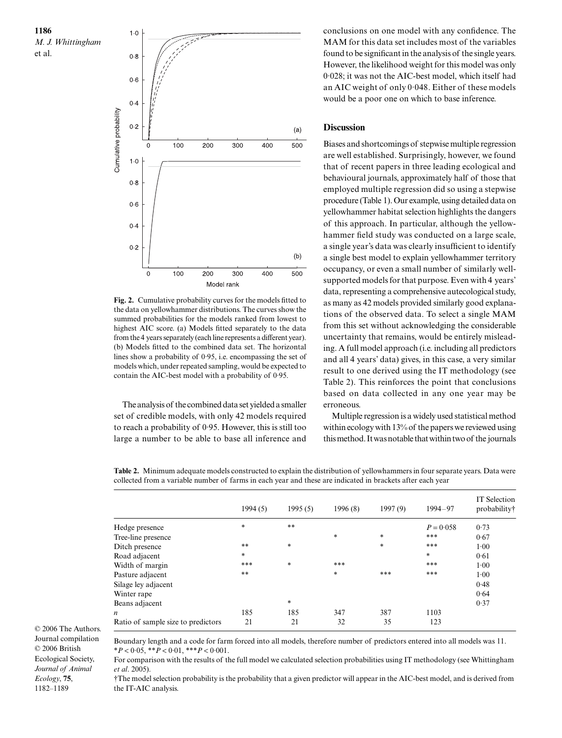

**Fig. 2.** Cumulative probability curves for the models fitted to the data on yellowhammer distributions. The curves show the summed probabilities for the models ranked from lowest to highest AIC score. (a) Models fitted separately to the data from the 4 years separately (each line represents a different year). (b) Models fitted to the combined data set. The horizontal lines show a probability of 0·95, i.e. encompassing the set of models which, under repeated sampling, would be expected to contain the AIC-best model with a probability of 0·95.

The analysis of the combined data set yielded a smaller set of credible models, with only 42 models required to reach a probability of 0·95. However, this is still too large a number to be able to base all inference and conclusions on one model with any confidence. The MAM for this data set includes most of the variables found to be significant in the analysis of the single years. However, the likelihood weight for this model was only 0·028; it was not the AIC-best model, which itself had an AIC weight of only 0·048. Either of these models would be a poor one on which to base inference.

## **Discussion**

Biases and shortcomings of stepwise multiple regression are well established. Surprisingly, however, we found that of recent papers in three leading ecological and behavioural journals, approximately half of those that employed multiple regression did so using a stepwise procedure (Table 1). Our example, using detailed data on yellowhammer habitat selection highlights the dangers of this approach. In particular, although the yellowhammer field study was conducted on a large scale, a single year's data was clearly insufficient to identify a single best model to explain yellowhammer territory occupancy, or even a small number of similarly wellsupported models for that purpose. Even with 4 years' data, representing a comprehensive autecological study, as many as 42 models provided similarly good explanations of the observed data. To select a single MAM from this set without acknowledging the considerable uncertainty that remains, would be entirely misleading. A full model approach (i.e. including all predictors and all 4 years' data) gives, in this case, a very similar result to one derived using the IT methodology (see Table 2). This reinforces the point that conclusions based on data collected in any one year may be erroneous.

Multiple regression is a widely used statistical method within ecology with 13% of the papers we reviewed using this method. It was notable that within two of the journals

**Table 2.** Minimum adequate models constructed to explain the distribution of yellowhammers in four separate years. Data were collected from a variable number of farms in each year and these are indicated in brackets after each year

|                                    | 1994(5) | 1995(5) | 1996(8) | 1997(9)       | $1994 - 97$ | IT Selection<br>probability† |
|------------------------------------|---------|---------|---------|---------------|-------------|------------------------------|
|                                    |         |         |         |               |             |                              |
| Hedge presence                     | $\ast$  | $**$    |         |               | $P = 0.058$ | 0.73                         |
| Tree-line presence                 |         |         | $\ast$  | *             | ***         | 0.67                         |
| Ditch presence                     | **      | $*$     |         | $\frac{1}{2}$ | ***         | 1.00                         |
| Road adjacent                      | *       |         |         |               | $\ast$      | 0.61                         |
| Width of margin                    | ***     | $\ast$  | ***     |               | ***         | 1.00                         |
| Pasture adjacent                   | **      |         | $*$     | ***           | ***         | 1.00                         |
| Silage ley adjacent                |         |         |         |               |             | 0.48                         |
| Winter rape                        |         |         |         |               |             | 0.64                         |
| Beans adjacent                     |         | $\ast$  |         |               |             | 0.37                         |
| n                                  | 185     | 185     | 347     | 387           | 1103        |                              |
| Ratio of sample size to predictors | 21      | 21      | 32      | 35            | 123         |                              |

© 2006 The Authors. Journal compilation © 2006 British Ecological Society, *Journal of Animal Ecology*, **75**, 1182–1189

Boundary length and a code for farm forced into all models, therefore number of predictors entered into all models was 11. \**P* < 0·05, \*\**P* < 0·01, \*\*\**P* < 0·001.

For comparison with the results of the full model we calculated selection probabilities using IT methodology (see Whittingham *et al*. 2005).

†The model selection probability is the probability that a given predictor will appear in the AIC-best model, and is derived from the IT-AIC analysis.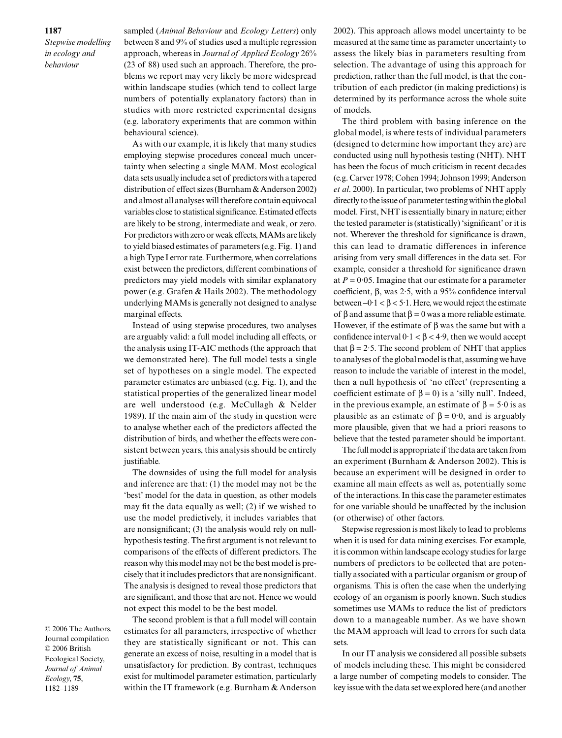*Stepwise modelling in ecology and behaviour*

sampled (*Animal Behaviour* and *Ecology Letters*) only between 8 and 9% of studies used a multiple regression approach, whereas in *Journal of Applied Ecology* 26% (23 of 88) used such an approach. Therefore, the problems we report may very likely be more widespread within landscape studies (which tend to collect large numbers of potentially explanatory factors) than in studies with more restricted experimental designs (e.g. laboratory experiments that are common within behavioural science).

As with our example, it is likely that many studies employing stepwise procedures conceal much uncertainty when selecting a single MAM. Most ecological data sets usually include a set of predictors with a tapered distribution of effect sizes (Burnham & Anderson 2002) and almost all analyses will therefore contain equivocal variables close to statistical significance. Estimated effects are likely to be strong, intermediate and weak, or zero. For predictors with zero or weak effects, MAMs are likely to yield biased estimates of parameters (e.g. Fig. 1) and a high Type I error rate. Furthermore, when correlations exist between the predictors, different combinations of predictors may yield models with similar explanatory power (e.g. Grafen & Hails 2002). The methodology underlying MAMs is generally not designed to analyse marginal effects.

Instead of using stepwise procedures, two analyses are arguably valid: a full model including all effects, or the analysis using IT-AIC methods (the approach that we demonstrated here). The full model tests a single set of hypotheses on a single model. The expected parameter estimates are unbiased (e.g. Fig. 1), and the statistical properties of the generalized linear model are well understood (e.g. McCullagh & Nelder 1989). If the main aim of the study in question were to analyse whether each of the predictors affected the distribution of birds, and whether the effects were consistent between years, this analysis should be entirely justifiable.

The downsides of using the full model for analysis and inference are that: (1) the model may not be the 'best' model for the data in question, as other models may fit the data equally as well; (2) if we wished to use the model predictively, it includes variables that are nonsignificant; (3) the analysis would rely on nullhypothesis testing. The first argument is not relevant to comparisons of the effects of different predictors. The reason why this model may not be the best model is precisely that it includes predictors that are nonsignificant. The analysis is designed to reveal those predictors that are significant, and those that are not. Hence we would not expect this model to be the best model.

The second problem is that a full model will contain estimates for all parameters, irrespective of whether they are statistically significant or not. This can generate an excess of noise, resulting in a model that is unsatisfactory for prediction. By contrast, techniques exist for multimodel parameter estimation, particularly within the IT framework (e.g. Burnham & Anderson

2002). This approach allows model uncertainty to be measured at the same time as parameter uncertainty to assess the likely bias in parameters resulting from selection. The advantage of using this approach for prediction, rather than the full model, is that the contribution of each predictor (in making predictions) is determined by its performance across the whole suite of models.

The third problem with basing inference on the global model, is where tests of individual parameters (designed to determine how important they are) are conducted using null hypothesis testing (NHT). NHT has been the focus of much criticism in recent decades (e.g. Carver 1978; Cohen 1994; Johnson 1999; Anderson *et al*. 2000). In particular, two problems of NHT apply directly to the issue of parameter testing within the global model. First, NHT is essentially binary in nature; either the tested parameter is (statistically) 'significant' or it is not. Wherever the threshold for significance is drawn, this can lead to dramatic differences in inference arising from very small differences in the data set. For example, consider a threshold for significance drawn at  $P = 0.05$ . Imagine that our estimate for a parameter coefficient, β, was 2·5, with a 95% confidence interval between  $-0.1 < \beta < 5.1$ . Here, we would reject the estimate of β and assume that  $β = 0$  was a more reliable estimate. However, if the estimate of  $\beta$  was the same but with a confidence interval  $0.1 < \beta < 4.9$ , then we would accept that  $\beta = 2.5$ . The second problem of NHT that applies to analyses of the global model is that, assuming we have reason to include the variable of interest in the model, then a null hypothesis of 'no effect' (representing a coefficient estimate of  $\beta = 0$ ) is a 'silly null'. Indeed, in the previous example, an estimate of  $\beta = 5.0$  is as plausible as an estimate of  $\beta = 0.0$ , and is arguably more plausible, given that we had a priori reasons to believe that the tested parameter should be important.

The full model is appropriate if the data are taken from an experiment (Burnham & Anderson 2002). This is because an experiment will be designed in order to examine all main effects as well as, potentially some of the interactions. In this case the parameter estimates for one variable should be unaffected by the inclusion (or otherwise) of other factors.

Stepwise regression is most likely to lead to problems when it is used for data mining exercises. For example, it is common within landscape ecology studies for large numbers of predictors to be collected that are potentially associated with a particular organism or group of organisms. This is often the case when the underlying ecology of an organism is poorly known. Such studies sometimes use MAMs to reduce the list of predictors down to a manageable number. As we have shown the MAM approach will lead to errors for such data sets.

In our IT analysis we considered all possible subsets of models including these. This might be considered a large number of competing models to consider. The key issue with the data set we explored here (and another

© 2006 The Authors. Journal compilation © 2006 British Ecological Society, *Journal of Animal Ecology*, **75**, 1182–1189

## **1187**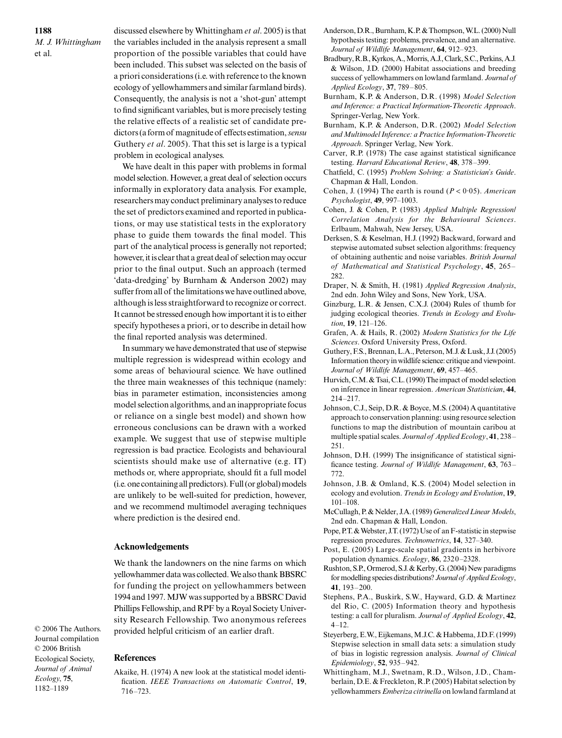**1188** *M. J. Whittingham* et al.

discussed elsewhere by Whittingham *et al*. 2005) is that the variables included in the analysis represent a small proportion of the possible variables that could have been included. This subset was selected on the basis of a priori considerations (i.e. with reference to the known ecology of yellowhammers and similar farmland birds). Consequently, the analysis is not a 'shot-gun' attempt to find significant variables, but is more precisely testing the relative effects of a realistic set of candidate predictors (a form of magnitude of effects estimation, *sensu* Guthery *et al*. 2005). That this set is large is a typical problem in ecological analyses.

We have dealt in this paper with problems in formal model selection. However, a great deal of selection occurs informally in exploratory data analysis. For example, researchers may conduct preliminary analyses to reduce the set of predictors examined and reported in publications, or may use statistical tests in the exploratory phase to guide them towards the final model. This part of the analytical process is generally not reported; however, it is clear that a great deal of selection may occur prior to the final output. Such an approach (termed 'data-dredging' by Burnham & Anderson 2002) may suffer from all of the limitations we have outlined above, although is less straightforward to recognize or correct. It cannot be stressed enough how important it is to either specify hypotheses a priori, or to describe in detail how the final reported analysis was determined.

In summary we have demonstrated that use of stepwise multiple regression is widespread within ecology and some areas of behavioural science. We have outlined the three main weaknesses of this technique (namely: bias in parameter estimation, inconsistencies among model selection algorithms, and an inappropriate focus or reliance on a single best model) and shown how erroneous conclusions can be drawn with a worked example. We suggest that use of stepwise multiple regression is bad practice. Ecologists and behavioural scientists should make use of alternative (e.g. IT) methods or, where appropriate, should fit a full model (i.e. one containing all predictors). Full (or global) models are unlikely to be well-suited for prediction, however, and we recommend multimodel averaging techniques where prediction is the desired end.

## **Acknowledgements**

We thank the landowners on the nine farms on which yellowhammer data was collected. We also thank BBSRC for funding the project on yellowhammers between 1994 and 1997. MJW was supported by a BBSRC David Phillips Fellowship, and RPF by a Royal Society University Research Fellowship. Two anonymous referees provided helpful criticism of an earlier draft.

© 2006 The Authors. Journal compilation © 2006 British Ecological Society, *Journal of Animal Ecology*, **75**, 1182–1189

## **References**

Akaike, H. (1974) A new look at the statistical model identification. *IEEE Transactions on Automatic Control*, **19**, 716–723.

- Anderson, D.R., Burnham, K.P. & Thompson, W.L. (2000) Null hypothesis testing: problems, prevalence, and an alternative. *Journal of Wildlife Management*, **64**, 912–923.
- Bradbury, R.B., Kyrkos, A., Morris, A.J., Clark, S.C., Perkins, A.J. & Wilson, J.D. (2000) Habitat associations and breeding success of yellowhammers on lowland farmland. *Journal of Applied Ecology*, **37**, 789–805.
- Burnham, K.P. & Anderson, D.R. (1998) *Model Selection and Inference: a Practical Information-Theoretic Approach*. Springer-Verlag, New York.
- Burnham, K.P. & Anderson, D.R. (2002) *Model Selection and Multimodel Inference: a Practice Information-Theoretic Approach*. Springer Verlag, New York.
- Carver, R.P. (1978) The case against statistical significance testing. *Harvard Educational Review*, **48**, 378–399.
- Chatfield, C. (1995) *Problem Solving: a Statistician's Guide*. Chapman & Hall, London.
- Cohen, J. (1994) The earth is round (*P* < 0·05). *American Psychologist*, **49**, 997–1003.
- Cohen, J. & Cohen, P. (1983) *Applied Multiple Regression/ Correlation Analysis for the Behavioural Sciences*. Erlbaum, Mahwah, New Jersey, USA.
- Derksen, S. & Keselman, H.J. (1992) Backward, forward and stepwise automated subset selection algorithms: frequency of obtaining authentic and noise variables. *British Journal of Mathematical and Statistical Psychology*, **45**, 265– 282.
- Draper, N. & Smith, H. (1981) *Applied Regression Analysis*, 2nd edn. John Wiley and Sons, New York, USA.
- Ginzburg, L.R. & Jensen, C.X.J. (2004) Rules of thumb for judging ecological theories. *Trends in Ecology and Evolution*, **19**, 121–126.
- Grafen, A. & Hails, R. (2002) *Modern Statistics for the Life Sciences*. Oxford University Press, Oxford.
- Guthery, F.S., Brennan, L.A., Peterson, M.J. & Lusk, J.J. (2005) Information theory in wildlife science: critique and viewpoint. *Journal of Wildlife Management*, **69**, 457–465.
- Hurvich, C.M. & Tsai, C.L. (1990) The impact of model selection on inference in linear regression. *American Statistician*, **44**, 214–217.
- Johnson, C.J., Seip, D.R. & Boyce, M.S. (2004) A quantitative approach to conservation planning: using resource selection functions to map the distribution of mountain caribou at multiple spatial scales. *Journal of Applied Ecology*, **41**, 238– 251.
- Johnson, D.H. (1999) The insignificance of statistical significance testing. *Journal of Wildlife Management*, **63**, 763– 772.
- Johnson, J.B. & Omland, K.S. (2004) Model selection in ecology and evolution. *Trends in Ecology and Evolution*, **19**, 101–108.
- McCullagh, P. & Nelder, J.A. (1989) *Generalized Linear Models*, 2nd edn. Chapman & Hall, London.
- Pope, P.T. & Webster, J.T. (1972) Use of an F-statistic in stepwise regression procedures. *Technometrics*, **14**, 327–340.
- Post, E. (2005) Large-scale spatial gradients in herbivore population dynamics. *Ecology*, **86**, 2320–2328.
- Rushton, S.P., Ormerod, S.J. & Kerby, G. (2004) New paradigms for modelling species distributions? *Journal of Applied Ecology*, **41**, 193–200.
- Stephens, P.A., Buskirk, S.W., Hayward, G.D. & Martinez del Rio, C. (2005) Information theory and hypothesis testing: a call for pluralism. *Journal of Applied Ecology*, **42**,  $4-12.$
- Steyerberg, E.W., Eijkemans, M.J.C. & Habbema, J.D.F. (1999) Stepwise selection in small data sets: a simulation study of bias in logistic regression analysis. *Journal of Clinical Epidemiology*, **52**, 935–942.
- Whittingham, M.J., Swetnam, R.D., Wilson, J.D., Chamberlain, D.E. & Freckleton, R.P. (2005) Habitat selection by yellowhammers *Emberiza citrinella* on lowland farmland at